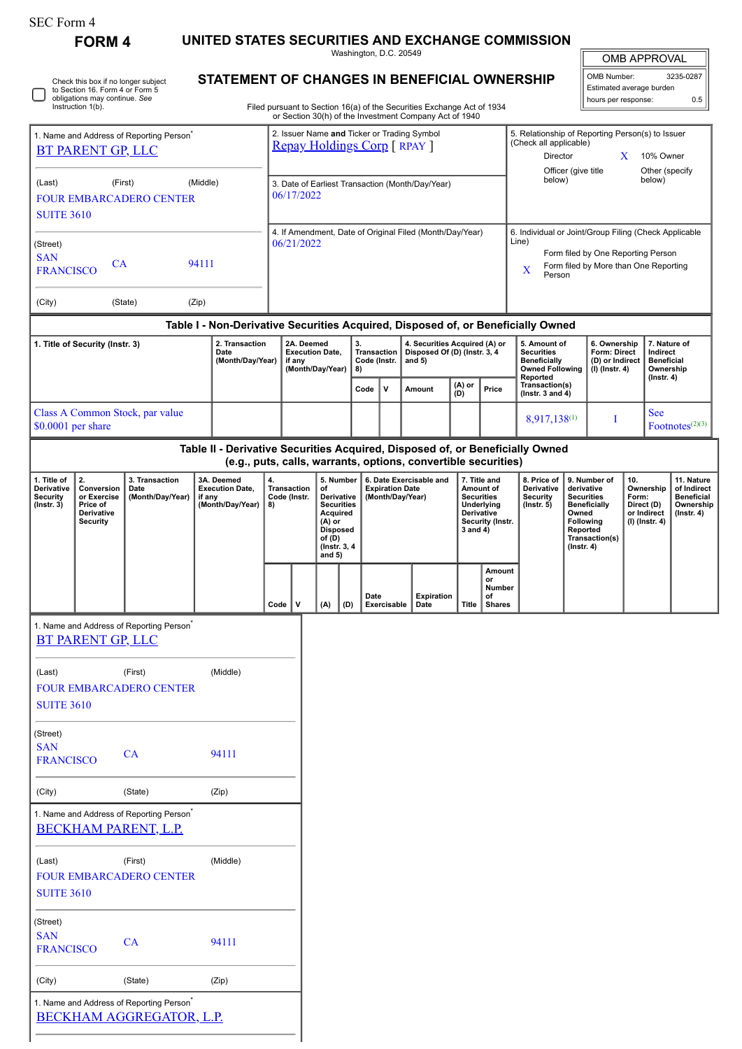| <b>SEC Form 4</b>                                                                                                                                                                                        |                                                    |                                                                                     |       |                                                                               |                                                                                   |                                                                                                                                     |                                            |                                                |                         |                                                                           |                                                                                                                                  |                                                                                                                                                              |                                                                                                                                                                       |                                                                                                                   |                                                                     |                                            |                                                                                 |                       |     |
|----------------------------------------------------------------------------------------------------------------------------------------------------------------------------------------------------------|----------------------------------------------------|-------------------------------------------------------------------------------------|-------|-------------------------------------------------------------------------------|-----------------------------------------------------------------------------------|-------------------------------------------------------------------------------------------------------------------------------------|--------------------------------------------|------------------------------------------------|-------------------------|---------------------------------------------------------------------------|----------------------------------------------------------------------------------------------------------------------------------|--------------------------------------------------------------------------------------------------------------------------------------------------------------|-----------------------------------------------------------------------------------------------------------------------------------------------------------------------|-------------------------------------------------------------------------------------------------------------------|---------------------------------------------------------------------|--------------------------------------------|---------------------------------------------------------------------------------|-----------------------|-----|
|                                                                                                                                                                                                          | <b>FORM4</b>                                       |                                                                                     |       | UNITED STATES SECURITIES AND EXCHANGE COMMISSION                              |                                                                                   |                                                                                                                                     |                                            |                                                |                         |                                                                           | Washington, D.C. 20549                                                                                                           |                                                                                                                                                              |                                                                                                                                                                       |                                                                                                                   |                                                                     |                                            |                                                                                 | OMB APPROVAL          |     |
| Check this box if no longer subject<br>to Section 16. Form 4 or Form 5                                                                                                                                   |                                                    |                                                                                     |       |                                                                               | STATEMENT OF CHANGES IN BENEFICIAL OWNERSHIP                                      |                                                                                                                                     |                                            |                                                |                         |                                                                           |                                                                                                                                  |                                                                                                                                                              | OMB Number:<br>3235-0287<br>Estimated average burden                                                                                                                  |                                                                                                                   |                                                                     |                                            |                                                                                 |                       |     |
|                                                                                                                                                                                                          | obligations may continue. See<br>Instruction 1(b). |                                                                                     |       |                                                                               |                                                                                   |                                                                                                                                     |                                            |                                                |                         |                                                                           | Filed pursuant to Section 16(a) of the Securities Exchange Act of 1934<br>or Section 30(h) of the Investment Company Act of 1940 |                                                                                                                                                              |                                                                                                                                                                       |                                                                                                                   |                                                                     | hours per response:                        |                                                                                 |                       | 0.5 |
| 1. Name and Address of Reporting Person <sup>®</sup><br><b>BT PARENT GP, LLC</b>                                                                                                                         |                                                    |                                                                                     |       |                                                                               | 2. Issuer Name and Ticker or Trading Symbol<br><b>Repay Holdings Corp</b> [RPAY ] |                                                                                                                                     |                                            |                                                |                         |                                                                           |                                                                                                                                  |                                                                                                                                                              | 5. Relationship of Reporting Person(s) to Issuer<br>(Check all applicable)<br>X<br>10% Owner<br>Director<br>Other (specify<br>Officer (give title<br>below)<br>below) |                                                                                                                   |                                                                     |                                            |                                                                                 |                       |     |
| (Middle)<br>(Last)<br>(First)<br><b>FOUR EMBARCADERO CENTER</b><br><b>SUITE 3610</b>                                                                                                                     |                                                    |                                                                                     |       |                                                                               | 3. Date of Earliest Transaction (Month/Day/Year)<br>06/17/2022                    |                                                                                                                                     |                                            |                                                |                         |                                                                           |                                                                                                                                  |                                                                                                                                                              |                                                                                                                                                                       |                                                                                                                   |                                                                     |                                            |                                                                                 |                       |     |
| (Street)<br><b>SAN</b><br>CA<br>94111<br><b>FRANCISCO</b>                                                                                                                                                |                                                    |                                                                                     |       |                                                                               | 4. If Amendment, Date of Original Filed (Month/Day/Year)<br>06/21/2022            |                                                                                                                                     |                                            |                                                |                         |                                                                           |                                                                                                                                  | 6. Individual or Joint/Group Filing (Check Applicable<br>Line)<br>Form filed by One Reporting Person<br>Form filed by More than One Reporting<br>X<br>Person |                                                                                                                                                                       |                                                                                                                   |                                                                     |                                            |                                                                                 |                       |     |
| (City)                                                                                                                                                                                                   |                                                    | (State)                                                                             | (Zip) |                                                                               |                                                                                   |                                                                                                                                     |                                            |                                                |                         |                                                                           |                                                                                                                                  |                                                                                                                                                              |                                                                                                                                                                       |                                                                                                                   |                                                                     |                                            |                                                                                 |                       |     |
| Table I - Non-Derivative Securities Acquired, Disposed of, or Beneficially Owned<br>2. Transaction<br>1. Title of Security (Instr. 3)<br>Date<br>(Month/Day/Year)                                        |                                                    |                                                                                     |       |                                                                               | if any                                                                            | 2A. Deemed                                                                                                                          | <b>Execution Date,</b><br>(Month/Day/Year) | 3.<br><b>Transaction</b><br>Code (Instr.<br>8) |                         | 4. Securities Acauired (A) or<br>Disposed Of (D) (Instr. 3, 4<br>and $5)$ |                                                                                                                                  |                                                                                                                                                              | 5. Amount of<br><b>Securities</b><br><b>Beneficially</b><br><b>Owned Following</b>                                                                                    |                                                                                                                   | 6. Ownership<br>Form: Direct<br>(D) or Indirect<br>$(I)$ (Instr. 4) |                                            | 7. Nature of<br>Indirect<br><b>Beneficial</b><br>Ownership<br>$($ Instr. 4 $)$  |                       |     |
|                                                                                                                                                                                                          |                                                    |                                                                                     |       |                                                                               |                                                                                   |                                                                                                                                     | Code                                       | ٧                                              | Amount                  | $(A)$ or<br>(D)                                                           | Price                                                                                                                            | Reported<br>Transaction(s)<br>(Instr. $3$ and $4$ )                                                                                                          |                                                                                                                                                                       |                                                                                                                   |                                                                     |                                            |                                                                                 |                       |     |
| Class A Common Stock, par value<br>\$0.0001 per share                                                                                                                                                    |                                                    |                                                                                     |       |                                                                               |                                                                                   |                                                                                                                                     |                                            |                                                |                         |                                                                           |                                                                                                                                  |                                                                                                                                                              | $8,917,138^{(1)}$                                                                                                                                                     |                                                                                                                   | I                                                                   |                                            | <b>See</b>                                                                      | $ Footnotes^{(2)(3)}$ |     |
|                                                                                                                                                                                                          |                                                    |                                                                                     |       | Table II - Derivative Securities Acquired, Disposed of, or Beneficially Owned |                                                                                   |                                                                                                                                     |                                            |                                                |                         |                                                                           | (e.g., puts, calls, warrants, options, convertible securities)                                                                   |                                                                                                                                                              |                                                                                                                                                                       |                                                                                                                   |                                                                     |                                            |                                                                                 |                       |     |
| 1. Title of<br>2.<br>3. Transaction<br>Derivative<br>Conversion<br>Date<br>(Month/Day/Year)<br><b>Security</b><br>or Exercise<br>if any<br>$($ Instr. 3 $)$<br>Price of<br>Derivative<br><b>Security</b> |                                                    | 3A. Deemed<br>4.<br><b>Execution Date,</b><br>(Month/Day/Year)<br>8)                |       | Transaction<br>Code (Instr.                                                   |                                                                                   | 5. Number<br>of<br>Derivative<br><b>Securities</b><br>Acquired<br>$(A)$ or<br><b>Disposed</b><br>of (D)<br>(Instr. 3, 4<br>and $5)$ | <b>Expiration Date</b><br>(Month/Day/Year) |                                                | 6. Date Exercisable and |                                                                           | 7. Title and<br>Amount of<br><b>Securities</b><br><b>Underlying</b><br><b>Derivative</b><br>Security (Instr.<br>3 and 4)         | 8. Price of<br><b>Derivative</b><br><b>Security</b><br>$($ Instr. 5 $)$<br>Owned<br>$($ Instr. 4 $)$                                                         |                                                                                                                                                                       | 9. Number of<br>derivative<br><b>Securities</b><br><b>Beneficially</b><br>Following<br>Reported<br>Transaction(s) | 10.<br>Form:<br>Direct (D)                                          | Ownership<br>or Indirect<br>(I) (Instr. 4) | 11. Nature<br>of Indirect<br><b>Beneficial</b><br>Ownership<br>$($ lnstr. 4 $)$ |                       |     |
|                                                                                                                                                                                                          |                                                    |                                                                                     |       |                                                                               | Code                                                                              | v                                                                                                                                   |                                            | (A)<br>(D)                                     | Date                    | Exercisable                                                               | Expiration<br>Date                                                                                                               | <b>Title</b>                                                                                                                                                 | Amount<br>or<br>Number<br>of<br><b>Shares</b>                                                                                                                         |                                                                                                                   |                                                                     |                                            |                                                                                 |                       |     |
|                                                                                                                                                                                                          | <b>BT PARENT GP, LLC</b>                           | 1. Name and Address of Reporting Person <sup>*</sup>                                |       |                                                                               |                                                                                   |                                                                                                                                     |                                            |                                                |                         |                                                                           |                                                                                                                                  |                                                                                                                                                              |                                                                                                                                                                       |                                                                                                                   |                                                                     |                                            |                                                                                 |                       |     |
| (Last)<br><b>SUITE 3610</b>                                                                                                                                                                              |                                                    | (First)<br><b>FOUR EMBARCADERO CENTER</b>                                           |       | (Middle)                                                                      |                                                                                   |                                                                                                                                     |                                            |                                                |                         |                                                                           |                                                                                                                                  |                                                                                                                                                              |                                                                                                                                                                       |                                                                                                                   |                                                                     |                                            |                                                                                 |                       |     |
| (Street)<br><b>SAN</b><br><b>FRANCISCO</b>                                                                                                                                                               |                                                    | CA                                                                                  |       | 94111                                                                         |                                                                                   |                                                                                                                                     |                                            |                                                |                         |                                                                           |                                                                                                                                  |                                                                                                                                                              |                                                                                                                                                                       |                                                                                                                   |                                                                     |                                            |                                                                                 |                       |     |
| (City)                                                                                                                                                                                                   |                                                    | (State)                                                                             |       | (Zip)                                                                         |                                                                                   |                                                                                                                                     |                                            |                                                |                         |                                                                           |                                                                                                                                  |                                                                                                                                                              |                                                                                                                                                                       |                                                                                                                   |                                                                     |                                            |                                                                                 |                       |     |
|                                                                                                                                                                                                          |                                                    | 1. Name and Address of Reporting Person <sup>®</sup><br><b>BECKHAM PARENT, L.P.</b> |       |                                                                               |                                                                                   |                                                                                                                                     |                                            |                                                |                         |                                                                           |                                                                                                                                  |                                                                                                                                                              |                                                                                                                                                                       |                                                                                                                   |                                                                     |                                            |                                                                                 |                       |     |
| (Last)<br><b>SUITE 3610</b>                                                                                                                                                                              |                                                    | (First)<br>FOUR EMBARCADERO CENTER                                                  |       | (Middle)                                                                      |                                                                                   |                                                                                                                                     |                                            |                                                |                         |                                                                           |                                                                                                                                  |                                                                                                                                                              |                                                                                                                                                                       |                                                                                                                   |                                                                     |                                            |                                                                                 |                       |     |
| (Street)<br><b>SAN</b><br><b>FRANCISCO</b>                                                                                                                                                               |                                                    | CA                                                                                  |       | 94111                                                                         |                                                                                   |                                                                                                                                     |                                            |                                                |                         |                                                                           |                                                                                                                                  |                                                                                                                                                              |                                                                                                                                                                       |                                                                                                                   |                                                                     |                                            |                                                                                 |                       |     |
| (City)                                                                                                                                                                                                   |                                                    | (State)                                                                             |       | (Zip)                                                                         |                                                                                   |                                                                                                                                     |                                            |                                                |                         |                                                                           |                                                                                                                                  |                                                                                                                                                              |                                                                                                                                                                       |                                                                                                                   |                                                                     |                                            |                                                                                 |                       |     |
|                                                                                                                                                                                                          |                                                    | 1. Name and Address of Reporting Person <sup>*</sup>                                |       |                                                                               |                                                                                   |                                                                                                                                     |                                            |                                                |                         |                                                                           |                                                                                                                                  |                                                                                                                                                              |                                                                                                                                                                       |                                                                                                                   |                                                                     |                                            |                                                                                 |                       |     |

| <b>BECKHAM AGGREGATOR, L.P.</b> |  |  |
|---------------------------------|--|--|
|                                 |  |  |